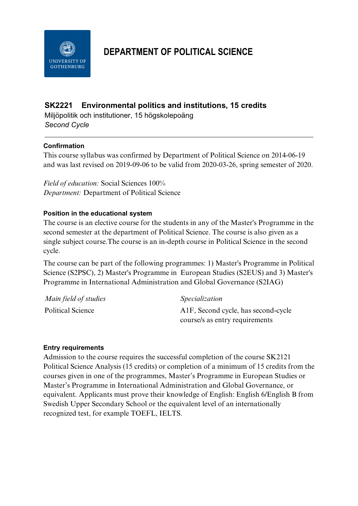

# **DEPARTMENT OF POLITICAL SCIENCE**

## **SK2221 Environmental politics and institutions, 15 credits**

Miljöpolitik och institutioner, 15 högskolepoäng *Second Cycle*

#### **Confirmation**

This course syllabus was confirmed by Department of Political Science on 2014-06-19 and was last revised on 2019-09-06 to be valid from 2020-03-26, spring semester of 2020.

*Field of education:* Social Sciences 100% *Department:* Department of Political Science

#### **Position in the educational system**

The course is an elective course for the students in any of the Master's Programme in the second semester at the department of Political Science. The course is also given as a single subject course.The course is an in-depth course in Political Science in the second cycle.

The course can be part of the following programmes: 1) Master's Programme in Political Science (S2PSC), 2) Master's Programme in European Studies (S2EUS) and 3) Master's Programme in International Administration and Global Governance (S2IAG)

| Main field of studies | <i>Specialization</i>                            |
|-----------------------|--------------------------------------------------|
| Political Science     | A <sub>1</sub> F, Second cycle, has second-cycle |
|                       | course/s as entry requirements                   |

#### **Entry requirements**

Admission to the course requires the successful completion of the course SK2121 Political Science Analysis (15 credits) or completion of a minimum of 15 credits from the courses given in one of the programmes, Master's Programme in European Studies or Master's Programme in International Administration and Global Governance, or equivalent. Applicants must prove their knowledge of English: English 6/English B from Swedish Upper Secondary School or the equivalent level of an internationally recognized test, for example TOEFL, IELTS.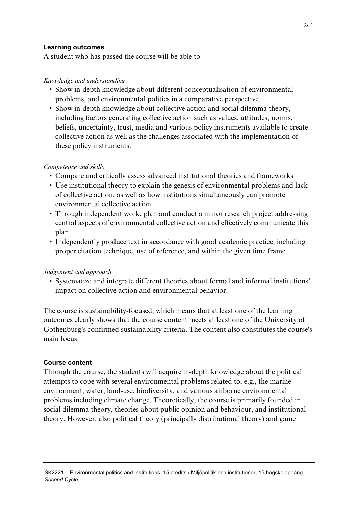#### **Learning outcomes**

A student who has passed the course will be able to

#### *Knowledge and understanding*

- Show in-depth knowledge about different conceptualisation of environmental problems, and environmental politics in a comparative perspective.
- Show in-depth knowledge about collective action and social dilemma theory, including factors generating collective action such as values, attitudes, norms, beliefs, uncertainty, trust, media and various policy instruments available to create collective action as well as the challenges associated with the implementation of these policy instruments.

#### *Competence and skills*

- Compare and critically assess advanced institutional theories and frameworks
- Use institutional theory to explain the genesis of environmental problems and lack of collective action, as well as how institutions simultaneously can promote environmental collective action.
- Through independent work, plan and conduct a minor research project addressing central aspects of environmental collective action and effectively communicate this plan.
- Independently produce text in accordance with good academic practice, including proper citation technique, use of reference, and within the given time frame.

### *Judgement and approach*

• Systematize and integrate different theories about formal and informal institutions' impact on collective action and environmental behavior.

The course is sustainability-focused, which means that at least one of the learning outcomes clearly shows that the course content meets at least one of the University of Gothenburg's confirmed sustainability criteria. The content also constitutes the course's main focus.

### **Course content**

Through the course, the students will acquire in-depth knowledge about the political attempts to cope with several environmental problems related to, e.g., the marine environment, water, land-use, biodiversity, and various airborne environmental problems including climate change. Theoretically, the course is primarily founded in social dilemma theory, theories about public opinion and behaviour, and institutional theory. However, also political theory (principally distributional theory) and game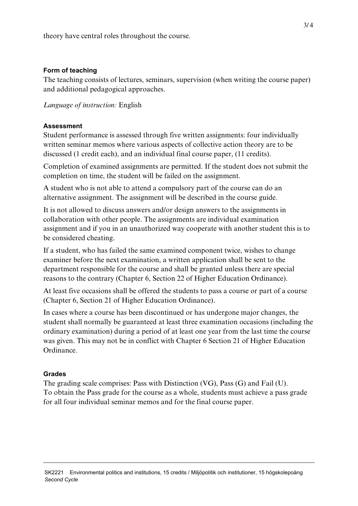theory have central roles throughout the course.

#### **Form of teaching**

The teaching consists of lectures, seminars, supervision (when writing the course paper) and additional pedagogical approaches.

*Language of instruction:* English

### **Assessment**

Student performance is assessed through five written assignments: four individually written seminar memos where various aspects of collective action theory are to be discussed (1 credit each), and an individual final course paper, (11 credits).

Completion of examined assignments are permitted. If the student does not submit the completion on time, the student will be failed on the assignment.

A student who is not able to attend a compulsory part of the course can do an alternative assignment. The assignment will be described in the course guide.

It is not allowed to discuss answers and/or design answers to the assignments in collaboration with other people. The assignments are individual examination assignment and if you in an unauthorized way cooperate with another student this is to be considered cheating.

If a student, who has failed the same examined component twice, wishes to change examiner before the next examination, a written application shall be sent to the department responsible for the course and shall be granted unless there are special reasons to the contrary (Chapter 6, Section 22 of Higher Education Ordinance).

At least five occasions shall be offered the students to pass a course or part of a course (Chapter 6, Section 21 of Higher Education Ordinance).

In cases where a course has been discontinued or has undergone major changes, the student shall normally be guaranteed at least three examination occasions (including the ordinary examination) during a period of at least one year from the last time the course was given. This may not be in conflict with Chapter 6 Section 21 of Higher Education Ordinance.

### **Grades**

The grading scale comprises: Pass with Distinction (VG), Pass (G) and Fail (U). To obtain the Pass grade for the course as a whole, students must achieve a pass grade for all four individual seminar memos and for the final course paper.